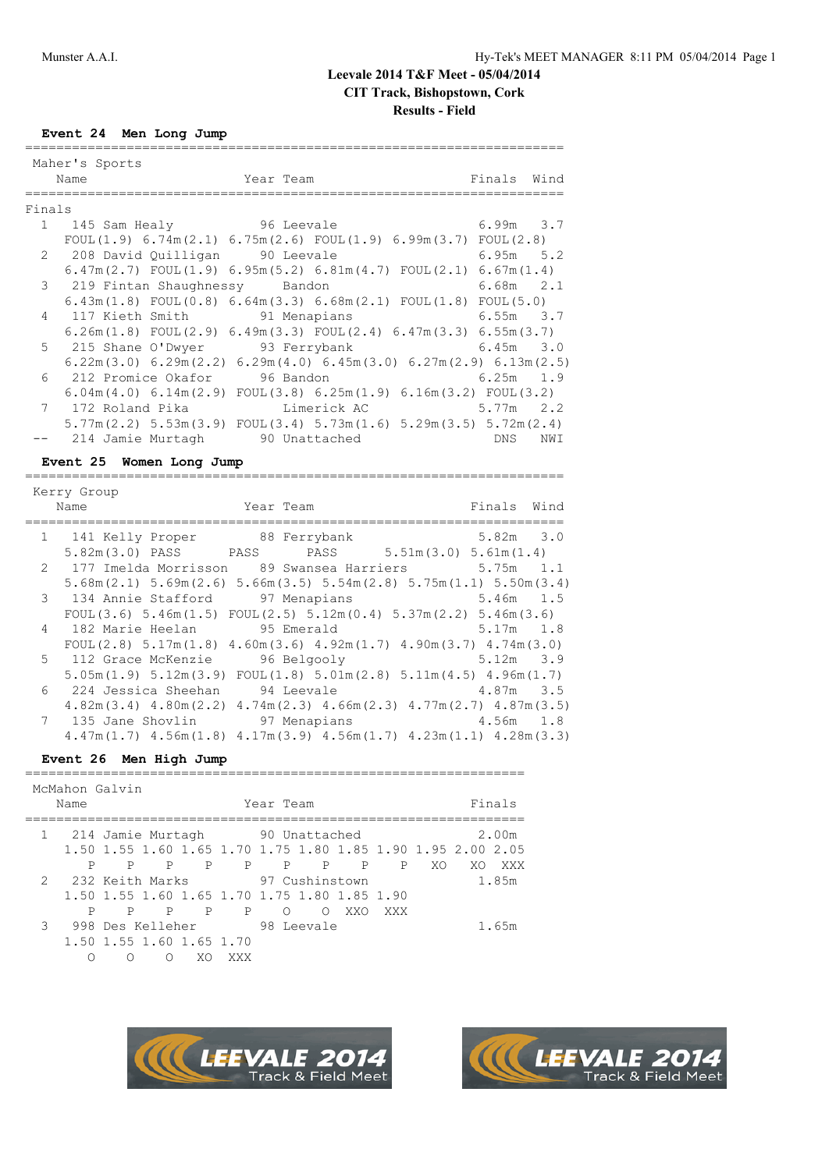# **Leevale 2014 T&F Meet - 05/04/2014**

**CIT Track, Bishopstown, Cork**

# **Results - Field**

**Event 24 Men Long Jump**

|        | Maher's Sports |                                                                                                       |           |               |             |             |     |
|--------|----------------|-------------------------------------------------------------------------------------------------------|-----------|---------------|-------------|-------------|-----|
|        | Name           |                                                                                                       | Year Team |               |             | Finals Wind |     |
|        |                |                                                                                                       |           |               |             |             |     |
| Finals |                |                                                                                                       |           |               |             |             |     |
|        |                | 1 145 Sam Healy 96 Leevale                                                                            |           |               |             | $6.99m$ 3.7 |     |
|        |                | FOUL $(1.9)$ 6.74m $(2.1)$ 6.75m $(2.6)$ FOUL $(1.9)$ 6.99m $(3.7)$ FOUL $(2.8)$                      |           |               |             |             |     |
|        |                | 2 208 David Quilligan 90 Leevale                                                                      |           |               |             | $6.95m$ 5.2 |     |
|        |                | $6.47$ m $(2.7)$ FOUL $(1.9)$ $6.95$ m $(5.2)$ $6.81$ m $(4.7)$ FOUL $(2.1)$ $6.67$ m $(1.4)$         |           |               |             |             |     |
|        |                | 3 219 Fintan Shaughnessy Bandon                                                                       |           |               |             | $6.68m$ 2.1 |     |
|        |                | $6.43$ m $(1.8)$ FOUL $(0.8)$ $6.64$ m $(3.3)$ $6.68$ m $(2.1)$ FOUL $(1.8)$ FOUL $(5.0)$             |           |               |             |             |     |
|        |                | 4 117 Kieth Smith 91 Menapians                                                                        |           |               | $6.55m$ 3.7 |             |     |
|        |                | $6.26$ m $(1.8)$ FOUL $(2.9)$ $6.49$ m $(3.3)$ FOUL $(2.4)$ $6.47$ m $(3.3)$ $6.55$ m $(3.7)$         |           |               |             |             |     |
|        |                | 5 215 Shane O'Dwyer 93 Ferrybank 6.45m 3.0                                                            |           |               |             |             |     |
|        |                | $6.22$ m $(3.0)$ $6.29$ m $(2.2)$ $6.29$ m $(4.0)$ $6.45$ m $(3.0)$ $6.27$ m $(2.9)$ $6.13$ m $(2.5)$ |           |               |             |             |     |
|        |                | 6 212 Promice Okafor 96 Bandon                                                                        |           |               |             | $6.25m$ 1.9 |     |
|        |                | $6.04$ m $(4.0)$ $6.14$ m $(2.9)$ FOUL $(3.8)$ $6.25$ m $(1.9)$ $6.16$ m $(3.2)$ FOUL $(3.2)$         |           |               |             |             |     |
|        |                | 7 172 Roland Pika Kimerick AC                                                                         |           |               |             | $5.77m$ 2.2 |     |
|        |                | $5.77$ m(2.2) $5.53$ m(3.9) FOUL(3.4) $5.73$ m(1.6) $5.29$ m(3.5) $5.72$ m(2.4)                       |           |               |             |             |     |
|        |                | 214 Jamie Murtagh                                                                                     |           | 90 Unattached |             | <b>DNS</b>  | NWI |

**Event 25 Women Long Jump** =====================================================================

| Kerry Group<br>Year Team <b>Example 2018</b> Finals Wind<br>Name                                      |               |  |
|-------------------------------------------------------------------------------------------------------|---------------|--|
| 1 141 Kelly Proper 88 Ferrybank                                                                       | $5.82m$ $3.0$ |  |
| 5.82m(3.0) PASS PASS PASS 5.51m(3.0) 5.61m(1.4)                                                       |               |  |
| 2 177 Imelda Morrisson 89 Swansea Harriers 5.75m 1.1                                                  |               |  |
| $5.68$ m $(2.1)$ $5.69$ m $(2.6)$ $5.66$ m $(3.5)$ $5.54$ m $(2.8)$ $5.75$ m $(1.1)$ $5.50$ m $(3.4)$ |               |  |
| 3 134 Annie Stafford 97 Menapians 5.46m 1.5                                                           |               |  |
| FOUL $(3.6)$ 5.46m $(1.5)$ FOUL $(2.5)$ 5.12m $(0.4)$ 5.37m $(2.2)$ 5.46m $(3.6)$                     |               |  |
| 4 182 Marie Heelan 95 Emerald 5.17m 1.8                                                               |               |  |
| FOUL $(2.8)$ 5.17m $(1.8)$ 4.60m $(3.6)$ 4.92m $(1.7)$ 4.90m $(3.7)$ 4.74m $(3.0)$                    |               |  |
| 5 112 Grace McKenzie 96 Belgooly<br>$5.12m$ 3.9                                                       |               |  |
| $5.05m(1.9)$ $5.12m(3.9)$ $FOUL(1.8)$ $5.01m(2.8)$ $5.11m(4.5)$ $4.96m(1.7)$                          |               |  |
| 6 224 Jessica Sheehan 94 Leevale 6 224 Jessica Sheehan 94 Leevale 6 224 3.5                           |               |  |
| $4.82m(3.4)$ $4.80m(2.2)$ $4.74m(2.3)$ $4.66m(2.3)$ $4.77m(2.7)$ $4.87m(3.5)$                         |               |  |
| 7 135 Jane Shovlin 97 Menapians 4.56m 1.8                                                             |               |  |
| $4.47$ m $(1.7)$ $4.56$ m $(1.8)$ $4.17$ m $(3.9)$ $4.56$ m $(1.7)$ $4.23$ m $(1.1)$ $4.28$ m $(3.3)$ |               |  |

### **Event 26 Men High Jump** ================================================================

|   | McMahon Galvin      |                                              |   |    |                   |          |                |              |     |    |                                                             |       |
|---|---------------------|----------------------------------------------|---|----|-------------------|----------|----------------|--------------|-----|----|-------------------------------------------------------------|-------|
|   | Year Team<br>Name   |                                              |   |    |                   |          | Finals         |              |     |    |                                                             |       |
|   | 1 214 Jamie Murtagh |                                              |   |    |                   |          | 90 Unattached  |              |     |    |                                                             | 2.00m |
|   |                     |                                              |   |    |                   |          |                |              |     |    | 1.50 1.55 1.60 1.65 1.70 1.75 1.80 1.85 1.90 1.95 2.00 2.05 |       |
|   | Ρ                   | P                                            | P | P  | P                 | P        | $\mathbb{P}$   | $\mathbb{P}$ | P   | XO | XO.                                                         | XXX   |
|   | 2 232 Keith Marks   |                                              |   |    |                   |          | 97 Cushinstown |              |     |    |                                                             | 1.85m |
|   |                     | 1.50 1.55 1.60 1.65 1.70 1.75 1.80 1.85 1.90 |   |    |                   |          |                |              |     |    |                                                             |       |
|   | Ρ                   | P                                            | P |    | P<br>$\mathbf{P}$ | $\Omega$ | ∩              | XXO          | XXX |    |                                                             |       |
| 3 |                     | 998 Des Kelleher                             |   |    |                   |          | 98 Leevale     |              |     |    |                                                             | 1.65m |
|   |                     | 1.50 1.55 1.60 1.65 1.70                     |   |    |                   |          |                |              |     |    |                                                             |       |
|   | ∩                   | $\left( \right)$                             | ( | XΟ | XXX               |          |                |              |     |    |                                                             |       |



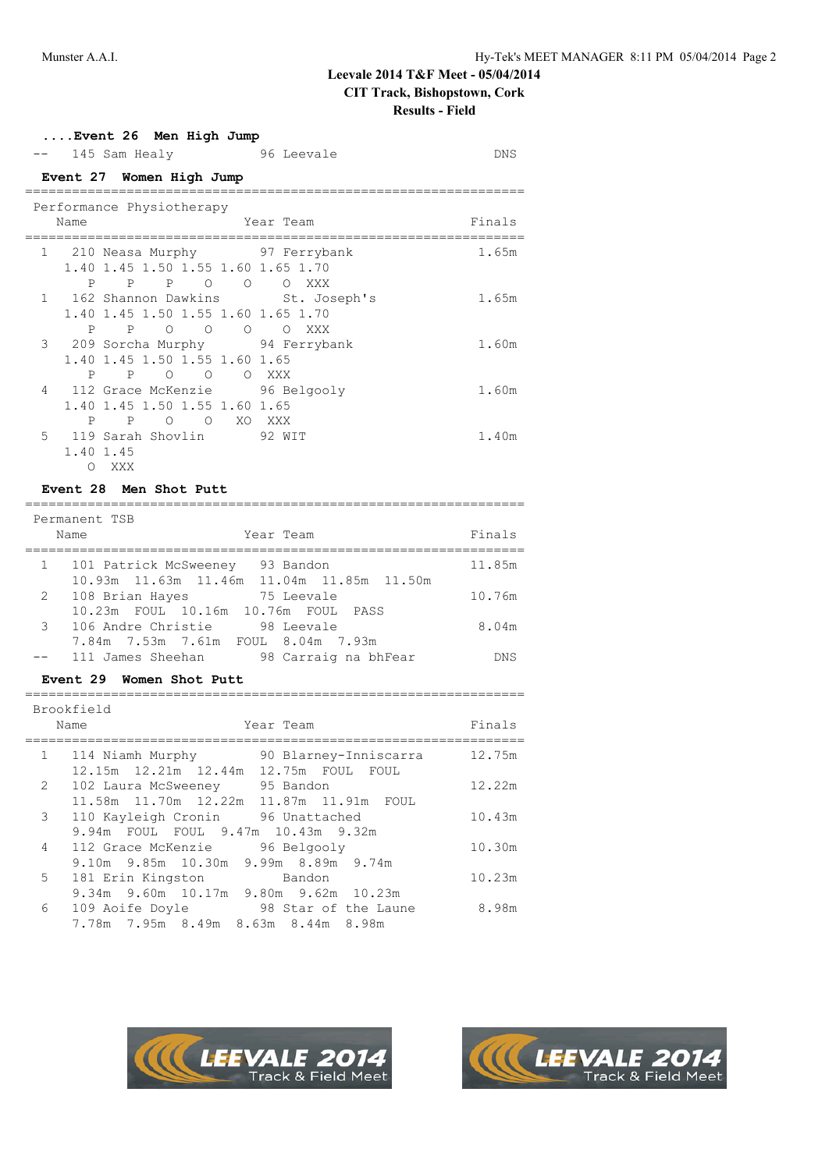### **....Event 26 Men High Jump**

|                                                          |                          | 145 Sam Healy                                                                                                           | 96 Leevale | <b>DNS</b> |  |  |
|----------------------------------------------------------|--------------------------|-------------------------------------------------------------------------------------------------------------------------|------------|------------|--|--|
|                                                          | Event 27 Women High Jump |                                                                                                                         |            |            |  |  |
| Performance Physiotherapy<br>Finals<br>Name<br>Year Team |                          |                                                                                                                         |            |            |  |  |
| 1                                                        | P                        | 210 Neasa Murphy 97 Ferrybank<br>1.40 1.45 1.50 1.55 1.60 1.65 1.70<br>P.<br>$\mathsf{P}$<br>$\Omega$<br>$\overline{O}$ | O XXX      | 1.65m      |  |  |
|                                                          | P                        | 1 162 Shannon Dawkins St. Joseph's<br>1.40 1.45 1.50 1.55 1.60 1.65 1.70<br>$\circ$ $\circ$<br>$\circ$<br>$\mathbb{P}$  | O XXX      | 1.65m      |  |  |
|                                                          | P                        | 3 209 Sorcha Murphy 94 Ferrybank<br>1.40 1.45 1.50 1.55 1.60 1.65<br>$\mathbb{P}$<br>$\circ$ $\circ$                    | O XXX      | 1.60m      |  |  |
| 4                                                        | P                        | 112 Grace McKenzie 56 Belgooly<br>1.40 1.45 1.50 1.55 1.60 1.65<br>P<br>$\Omega$<br>$\Omega$                            | XO XXX     | 1.60m      |  |  |
|                                                          | O                        | 1.40 1.45<br>XXX                                                                                                        |            | 1.40m      |  |  |

# **Event 28 Men Shot Putt**

|              | Permanent TSB                                  |        |
|--------------|------------------------------------------------|--------|
|              | Year Team<br>Name                              | Finals |
|              |                                                |        |
| $\mathbf{1}$ | 101 Patrick McSweeney 93 Bandon                | 11.85m |
|              | 10.93m  11.63m  11.46m  11.04m  11.85m  11.50m |        |
| 2            | 108 Brian Hayes<br>75 Leevale                  | 10.76m |
|              | 10.23m FOUL 10.16m 10.76m FOUL PASS            |        |
|              | 3 106 Andre Christie<br>98 Leevale             | 8.04m  |
|              | 7.84m 7.53m 7.61m FOUL 8.04m 7.93m             |        |
|              | 98 Carraig na bhFear<br>111 James Sheehan      | DNS    |

### **Event 29 Women Shot Putt**

|              | Brookfield<br>Name<br>Year Team                                                         | Finals |
|--------------|-----------------------------------------------------------------------------------------|--------|
| $\mathbf{1}$ | 90 Blarney-Inniscarra<br>114 Niamh Murphy<br>12.15m  12.21m  12.44m  12.75m  FOUL  FOUL | 12.75m |
| 2            | 102 Laura McSweeney 95 Bandon                                                           | 12.22m |
| 3            | 11.58m  11.70m  12.22m  11.87m  11.91m  FOUL<br>110 Kayleigh Cronin<br>96 Unattached    | 10.43m |
| 4            | 9.94m FOUL FOUL 9.47m 10.43m 9.32m<br>112 Grace McKenzie<br>96 Belgooly                 | 10.30m |
|              | 9.10m 9.85m 10.30m 9.99m 8.89m 9.74m                                                    |        |
| 5            | 181 Erin Kingston<br>Bandon<br>9.34m 9.60m 10.17m 9.80m 9.62m 10.23m                    | 10.23m |
| 6            | 109 Aoife Doyle<br>98 Star of the Laune                                                 | 8.98m  |
|              | 7.78m 7.95m 8.49m 8.63m 8.44m 8.98m                                                     |        |



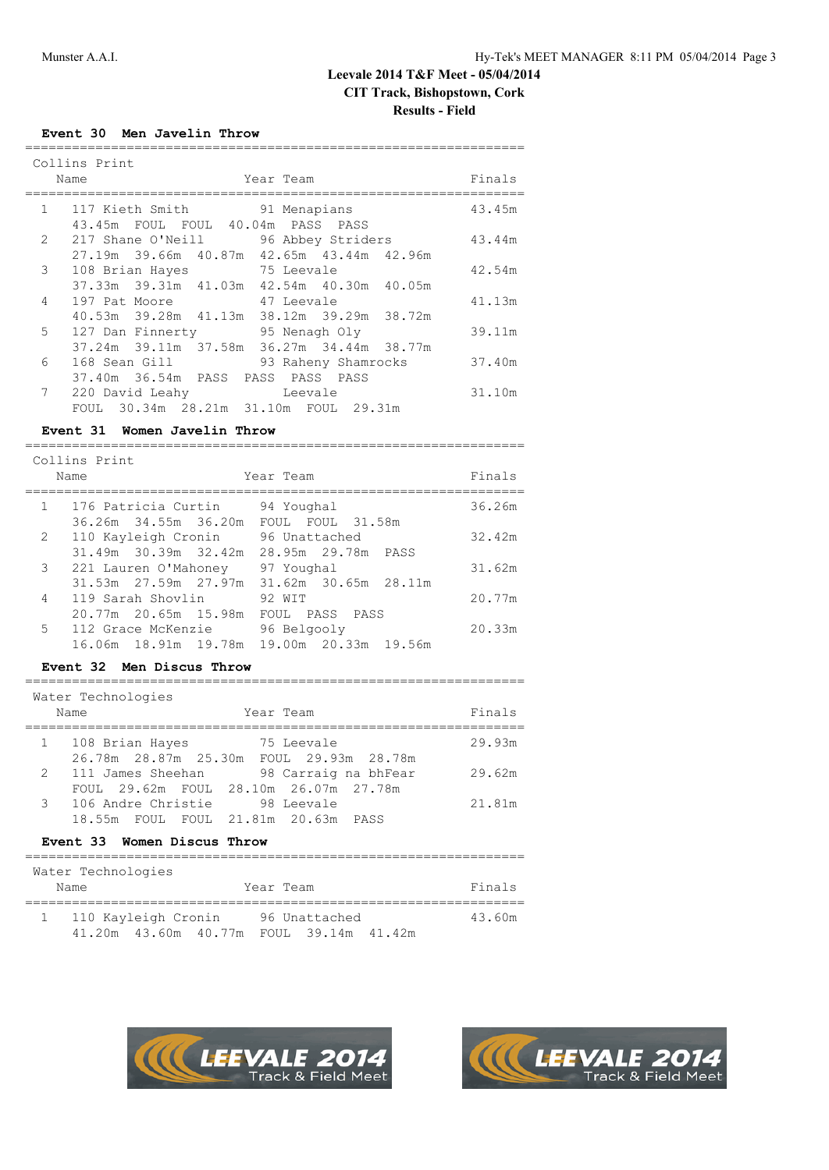### **Event 30 Men Javelin Throw**

|                | Collins Print<br>Year Team<br>Name                                                | Finals |
|----------------|-----------------------------------------------------------------------------------|--------|
| 1              | 117 Kieth Smith 91 Menapians<br>43.45m FOUL FOUL 40.04m PASS PASS                 | 43.45m |
| $\mathbf{2}$   | 217 Shane O'Neill 96 Abbey Striders<br>27.19m 39.66m 40.87m 42.65m 43.44m 42.96m  | 43.44m |
| $\mathcal{S}$  | 75 Leevale<br>108 Brian Hayes                                                     | 42.54m |
| $\overline{4}$ | 37.33m 39.31m 41.03m 42.54m 40.30m 40.05m<br>197 Pat Moore 47 Leevale             | 41.13m |
| 5              | 40.53m 39.28m 41.13m 38.12m 39.29m 38.72m<br>127 Dan Finnerty 95 Nenagh Oly       | 39.11m |
| 6              | 37.24m 39.11m 37.58m 36.27m 34.44m 38.77m<br>168 Sean Gill<br>93 Raheny Shamrocks | 37.40m |
|                | 37.40m 36.54m PASS PASS PASS PASS                                                 |        |
| 7              | Example: Leevale<br>220 David Leahy<br>FOUL 30.34m 28.21m 31.10m FOUL 29.31m      | 31.10m |

# **Event 31 Women Javelin Throw**

================================================================

|              | Collins Print         |                      |                                           |        |
|--------------|-----------------------|----------------------|-------------------------------------------|--------|
|              | Name                  |                      | Year Team                                 | Finals |
| $\mathbf{1}$ | 176 Patricia Curtin   |                      | 94 Youghal                                | 36.26m |
|              |                       | 36.26m 34.55m 36.20m | FOUL FOUL 31.58m                          |        |
|              | 2 110 Kayleigh Cronin |                      | 96 Unattached                             | 32.42m |
|              |                       | 31.49m 30.39m 32.42m | 28.95m 29.78m PASS                        |        |
| 3            |                       | 221 Lauren O'Mahoney | 97 Youghal                                | 31.62m |
|              |                       |                      | 31.53m 27.59m 27.97m 31.62m 30.65m 28.11m |        |
| 4            |                       | 119 Sarah Shovlin    | 92 WIT                                    | 20.77m |
|              |                       | 20.77m 20.65m 15.98m | FOUL PASS<br>PASS                         |        |
| 5            | 112 Grace McKenzie    |                      | 96 Belgooly                               | 20.33m |
|              |                       |                      | 16.06m 18.91m 19.78m 19.00m 20.33m 19.56m |        |

### **Event 32 Men Discus Throw**

| Year Team<br>Name                                                                                                                                                         | Finals |
|---------------------------------------------------------------------------------------------------------------------------------------------------------------------------|--------|
|                                                                                                                                                                           |        |
| 1 108 Brian Hayes<br>75 Leevale<br>26.78m  28.87m  25.30m  FOUL  29.93m  28.78m                                                                                           | 29.93m |
| 2<br>98 Carraig na bhFear<br>111 James Sheehan<br>FOUL 29.62m FOUL 28.10m 26.07m 27.78m                                                                                   | 29.62m |
| $\mathcal{R}$<br>106 Andre Christie 198 Leevale<br>18.55m FOUL FOUL 21.81m 20.63m PASS<br>$F_{\text{tanh}}$ 22 $F_{\text{tanh}}$ $\Gamma_{\text{tanh}}$ $F_{\text{tanh}}$ | 21.81m |

#### **Event 33 Women Discus Throw**

| Water Technologies                            |                                     |        |
|-----------------------------------------------|-------------------------------------|--------|
| Name                                          | Year Team                           | Finals |
| 110 Kayleigh Cronin<br>41.20m  43.60m  40.77m | 96 Unattached<br>FOUL 39.14m 41.42m | 43.60m |



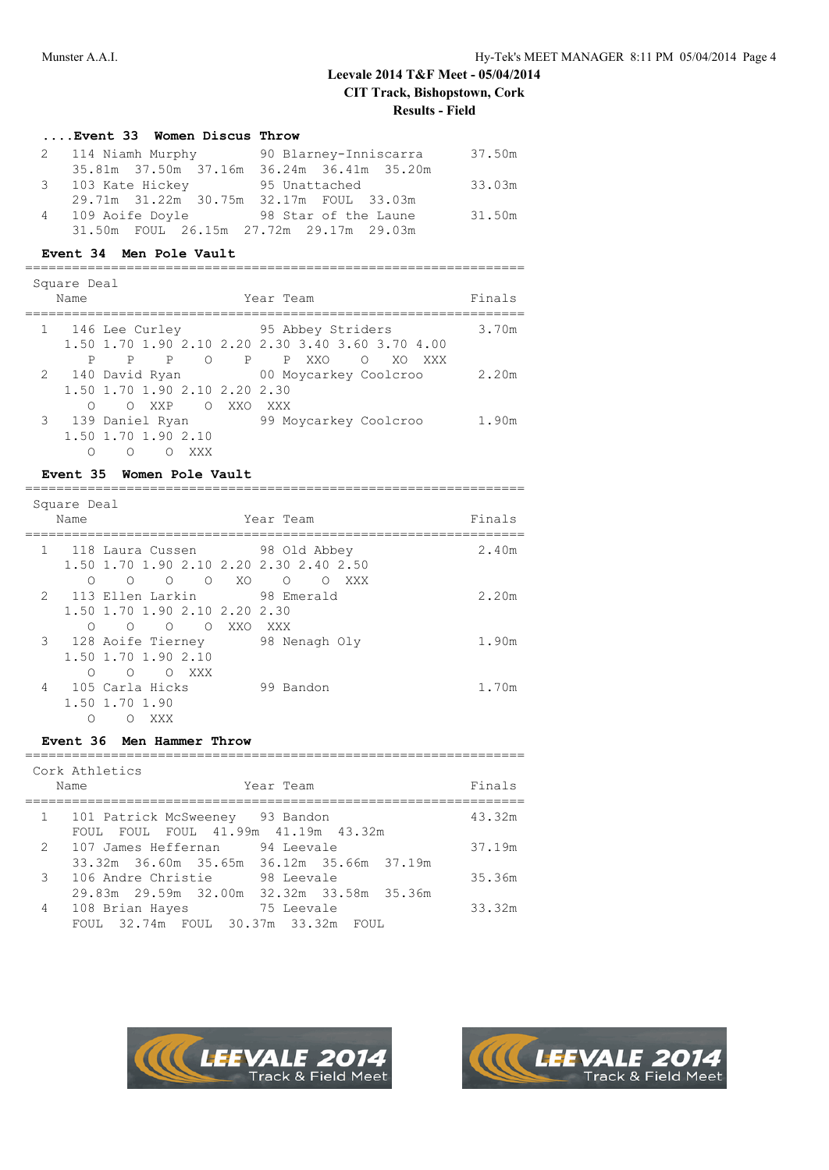### **....Event 33 Women Discus Throw**

| 2 114 Niamh Murphy                      | 90 Blarney-Inniscarra                     | 37.50m |
|-----------------------------------------|-------------------------------------------|--------|
|                                         | 35.81m 37.50m 37.16m 36.24m 36.41m 35.20m |        |
| 3 103 Kate Hickey 55 Unattached         |                                           | 33.03m |
| 29.71m 31.22m 30.75m 32.17m FOUL 33.03m |                                           |        |
| 4 109 Aoife Doyle                       | 98 Star of the Laune                      | 31.50m |
| 31.50m FOUL 26.15m 27.72m 29.17m 29.03m |                                           |        |

### **Event 34 Men Pole Vault**

| Square Deal<br>Name | Year Team                                                                                                                               | Finals |
|---------------------|-----------------------------------------------------------------------------------------------------------------------------------------|--------|
|                     | 95 Abbey Striders<br>1 146 Lee Curley<br>1,50 1,70 1,90 2,10 2,20 2,30 3,40 3,60 3,70 4,00                                              | 3.70m  |
| P                   | $\bigcirc$<br>P<br>P P XXO<br>$\Omega$<br>P.<br>XO<br>XXX<br>2 140 David Ryan<br>00 Moycarkey Coolcroo<br>1,50 1,70 1,90 2,10 2,20 2,30 | 2.20m  |
| ∩                   | $\bigcirc$<br>XXO<br>$\bigcirc$<br><b>XXP</b><br>XXX<br>3 139 Daniel Ryan<br>99 Moycarkey Coolcroo<br>1.50 1.70 1.90 2.10<br>∩<br>XXX   | 1.90m  |

# **Event 35 Women Pole Vault**

| Square Deal<br>Name<br>Year Team |   |                                 |                                         |       |  |
|----------------------------------|---|---------------------------------|-----------------------------------------|-------|--|
|                                  |   |                                 |                                         |       |  |
| $\mathbf{1}$                     |   | 118 Laura Cussen 98 Old Abbey   |                                         | 2.40m |  |
|                                  |   |                                 | 1.50 1.70 1.90 2.10 2.20 2.30 2.40 2.50 |       |  |
|                                  | ∩ | $\Omega$<br>$\Omega$<br>$\circ$ | XO.<br>XXX<br>$\Omega$<br>∩             |       |  |
|                                  |   | 2 113 Ellen Larkin              | 98 Emerald                              | 2.20m |  |
|                                  |   | 1,50 1,70 1,90 2,10 2,20 2,30   |                                         |       |  |
|                                  | ∩ | $\Omega$<br>∩<br>∩              | XXO<br>XXX                              |       |  |
|                                  |   | 3 128 Aoife Tierney             | 98 Nenagh Oly                           | 1.90m |  |
|                                  |   | 1.50 1.70 1.90 2.10             |                                         |       |  |
|                                  | ∩ | XXX<br>∩<br>O                   |                                         |       |  |
| 4                                |   | 105 Carla Hicks                 | 99 Bandon                               | 1.70m |  |
|                                  |   | 1.50 1.70 1.90                  |                                         |       |  |
|                                  |   | XXX                             |                                         |       |  |

### **Event 36 Men Hammer Throw**

|               | Cork Athletics<br>Year Team<br>Name                                                | Finals |
|---------------|------------------------------------------------------------------------------------|--------|
| $\mathbf{1}$  | 101 Patrick McSweeney 93 Bandon<br>FOUL FOUL 41.99m 41.19m 43.32m<br>FOUL.         | 43.32m |
| 2             | 107 James Heffernan<br>94 Leevale<br>33.32m 36.60m 35.65m 36.12m 35.66m 37.19m     | 37.19m |
| $\mathcal{B}$ | 106 Andre Christie<br>98 Leevale<br>29.83m  29.59m  32.00m  32.32m  33.58m  35.36m | 35.36m |
| 4             | 108 Brian Hayes<br>75 Leevale<br>FOUL 32.74m FOUL 30.37m 33.32m FOUL               | 33.32m |